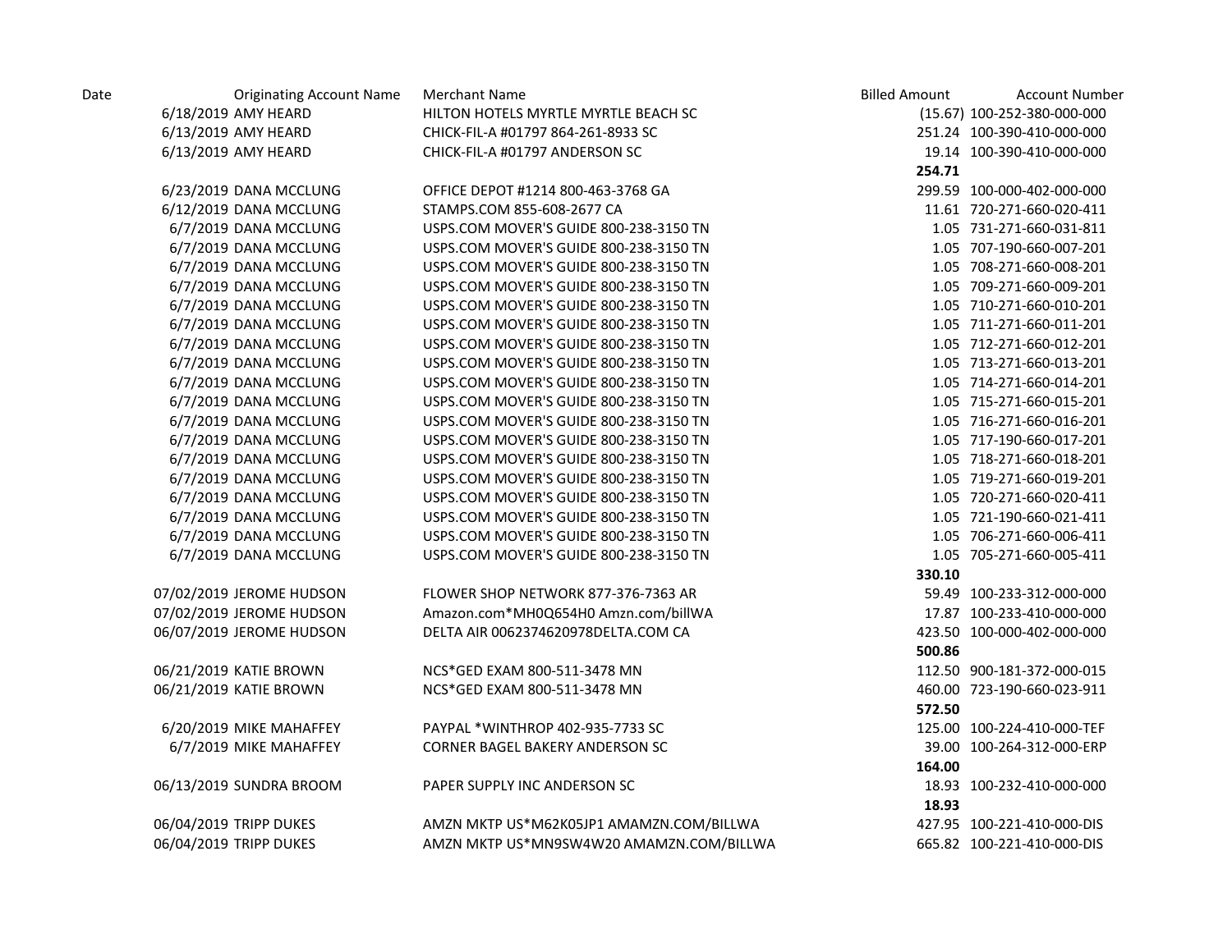| Date | <b>Originating Account Name</b> | <b>Merchant Name</b>                     | <b>Billed Amount</b> | <b>Account Number</b>       |
|------|---------------------------------|------------------------------------------|----------------------|-----------------------------|
|      | 6/18/2019 AMY HEARD             | HILTON HOTELS MYRTLE MYRTLE BEACH SC     |                      | (15.67) 100-252-380-000-000 |
|      | 6/13/2019 AMY HEARD             | CHICK-FIL-A #01797 864-261-8933 SC       |                      | 251.24 100-390-410-000-000  |
|      | 6/13/2019 AMY HEARD             | CHICK-FIL-A #01797 ANDERSON SC           |                      | 19.14 100-390-410-000-000   |
|      |                                 |                                          | 254.71               |                             |
|      | 6/23/2019 DANA MCCLUNG          | OFFICE DEPOT #1214 800-463-3768 GA       |                      | 299.59 100-000-402-000-000  |
|      | 6/12/2019 DANA MCCLUNG          | STAMPS.COM 855-608-2677 CA               |                      | 11.61 720-271-660-020-411   |
|      | 6/7/2019 DANA MCCLUNG           | USPS.COM MOVER'S GUIDE 800-238-3150 TN   |                      | 1.05 731-271-660-031-811    |
|      | 6/7/2019 DANA MCCLUNG           | USPS.COM MOVER'S GUIDE 800-238-3150 TN   |                      | 1.05 707-190-660-007-201    |
|      | 6/7/2019 DANA MCCLUNG           | USPS.COM MOVER'S GUIDE 800-238-3150 TN   |                      | 1.05 708-271-660-008-201    |
|      | 6/7/2019 DANA MCCLUNG           | USPS.COM MOVER'S GUIDE 800-238-3150 TN   |                      | 1.05 709-271-660-009-201    |
|      | 6/7/2019 DANA MCCLUNG           | USPS.COM MOVER'S GUIDE 800-238-3150 TN   |                      | 1.05 710-271-660-010-201    |
|      | 6/7/2019 DANA MCCLUNG           | USPS.COM MOVER'S GUIDE 800-238-3150 TN   |                      | 1.05 711-271-660-011-201    |
|      | 6/7/2019 DANA MCCLUNG           | USPS.COM MOVER'S GUIDE 800-238-3150 TN   |                      | 1.05 712-271-660-012-201    |
|      | 6/7/2019 DANA MCCLUNG           | USPS.COM MOVER'S GUIDE 800-238-3150 TN   |                      | 1.05 713-271-660-013-201    |
|      | 6/7/2019 DANA MCCLUNG           | USPS.COM MOVER'S GUIDE 800-238-3150 TN   |                      | 1.05 714-271-660-014-201    |
|      | 6/7/2019 DANA MCCLUNG           | USPS.COM MOVER'S GUIDE 800-238-3150 TN   |                      | 1.05 715-271-660-015-201    |
|      | 6/7/2019 DANA MCCLUNG           | USPS.COM MOVER'S GUIDE 800-238-3150 TN   |                      | 1.05 716-271-660-016-201    |
|      | 6/7/2019 DANA MCCLUNG           | USPS.COM MOVER'S GUIDE 800-238-3150 TN   |                      | 1.05 717-190-660-017-201    |
|      | 6/7/2019 DANA MCCLUNG           | USPS.COM MOVER'S GUIDE 800-238-3150 TN   |                      | 1.05 718-271-660-018-201    |
|      | 6/7/2019 DANA MCCLUNG           | USPS.COM MOVER'S GUIDE 800-238-3150 TN   |                      | 1.05 719-271-660-019-201    |
|      | 6/7/2019 DANA MCCLUNG           | USPS.COM MOVER'S GUIDE 800-238-3150 TN   |                      | 1.05 720-271-660-020-411    |
|      | 6/7/2019 DANA MCCLUNG           | USPS.COM MOVER'S GUIDE 800-238-3150 TN   |                      | 1.05 721-190-660-021-411    |
|      | 6/7/2019 DANA MCCLUNG           | USPS.COM MOVER'S GUIDE 800-238-3150 TN   |                      | 1.05 706-271-660-006-411    |
|      | 6/7/2019 DANA MCCLUNG           | USPS.COM MOVER'S GUIDE 800-238-3150 TN   |                      | 1.05 705-271-660-005-411    |
|      |                                 |                                          | 330.10               |                             |
|      | 07/02/2019 JEROME HUDSON        | FLOWER SHOP NETWORK 877-376-7363 AR      |                      | 59.49 100-233-312-000-000   |
|      | 07/02/2019 JEROME HUDSON        | Amazon.com*MH0Q654H0 Amzn.com/billWA     |                      | 17.87 100-233-410-000-000   |
|      | 06/07/2019 JEROME HUDSON        | DELTA AIR 0062374620978DELTA.COM CA      |                      | 423.50 100-000-402-000-000  |
|      |                                 |                                          | 500.86               |                             |
|      | 06/21/2019 KATIE BROWN          | NCS*GED EXAM 800-511-3478 MN             |                      | 112.50 900-181-372-000-015  |
|      | 06/21/2019 KATIE BROWN          | NCS*GED EXAM 800-511-3478 MN             |                      | 460.00 723-190-660-023-911  |
|      |                                 |                                          | 572.50               |                             |
|      | 6/20/2019 MIKE MAHAFFEY         | PAYPAL *WINTHROP 402-935-7733 SC         |                      | 125.00 100-224-410-000-TEF  |
|      | 6/7/2019 MIKE MAHAFFEY          | CORNER BAGEL BAKERY ANDERSON SC          |                      | 39.00 100-264-312-000-ERP   |
|      |                                 |                                          | 164.00               |                             |
|      | 06/13/2019 SUNDRA BROOM         | PAPER SUPPLY INC ANDERSON SC             |                      | 18.93 100-232-410-000-000   |
|      |                                 |                                          | 18.93                |                             |
|      | 06/04/2019 TRIPP DUKES          | AMZN MKTP US*M62K05JP1 AMAMZN.COM/BILLWA |                      | 427.95 100-221-410-000-DIS  |
|      | 06/04/2019 TRIPP DUKES          | AMZN MKTP US*MN9SW4W20 AMAMZN.COM/BILLWA |                      | 665.82 100-221-410-000-DIS  |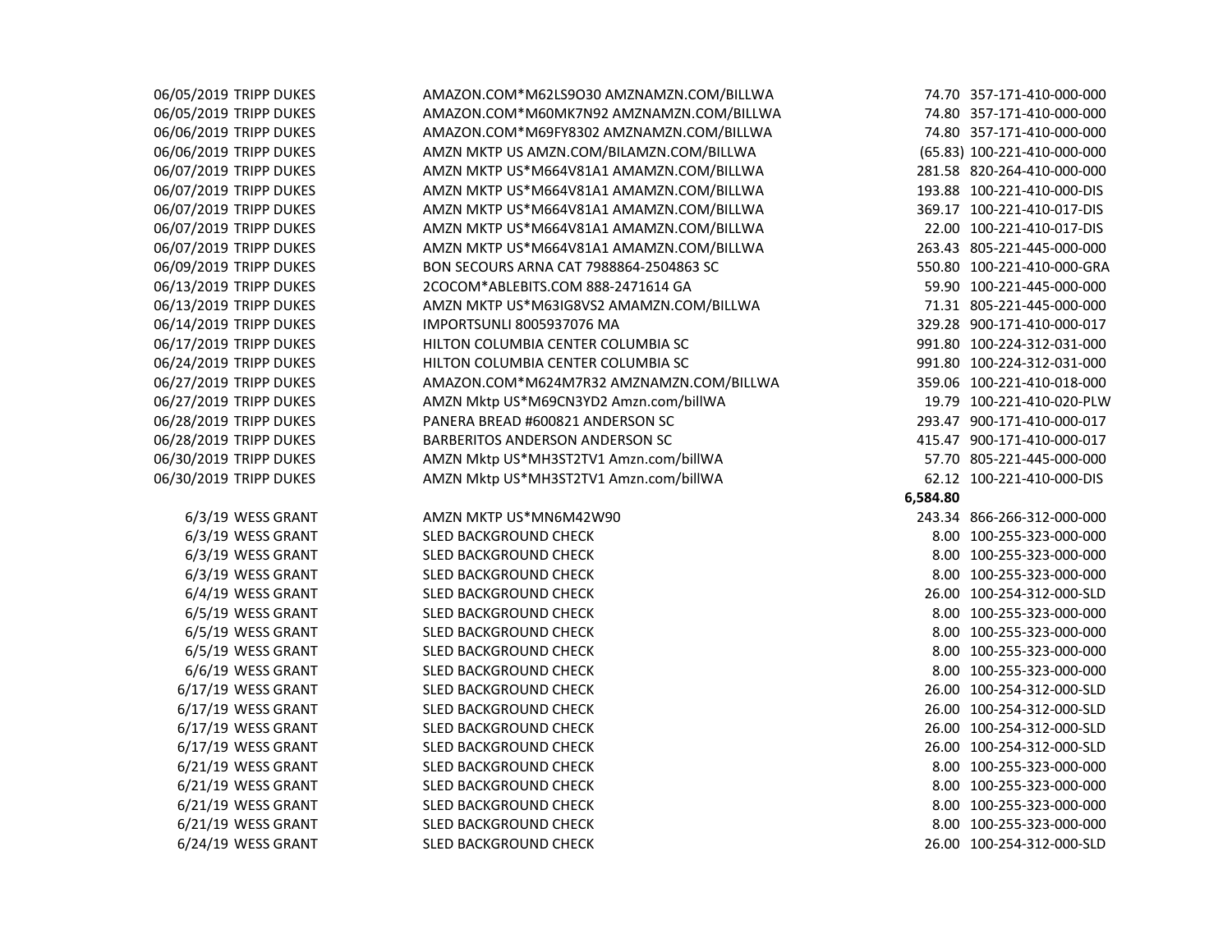| 06/05/2019 TRIPP DUKES | AMAZON.COM*M62LS9O30 AMZNAMZN.COM/BILLWA |          | 74.70 357-171-410-000-000   |
|------------------------|------------------------------------------|----------|-----------------------------|
| 06/05/2019 TRIPP DUKES | AMAZON.COM*M60MK7N92 AMZNAMZN.COM/BILLWA |          | 74.80 357-171-410-000-000   |
| 06/06/2019 TRIPP DUKES | AMAZON.COM*M69FY8302 AMZNAMZN.COM/BILLWA |          | 74.80 357-171-410-000-000   |
| 06/06/2019 TRIPP DUKES | AMZN MKTP US AMZN.COM/BILAMZN.COM/BILLWA |          | (65.83) 100-221-410-000-000 |
| 06/07/2019 TRIPP DUKES | AMZN MKTP US*M664V81A1 AMAMZN.COM/BILLWA |          | 281.58 820-264-410-000-000  |
| 06/07/2019 TRIPP DUKES | AMZN MKTP US*M664V81A1 AMAMZN.COM/BILLWA |          | 193.88 100-221-410-000-DIS  |
| 06/07/2019 TRIPP DUKES | AMZN MKTP US*M664V81A1 AMAMZN.COM/BILLWA |          | 369.17 100-221-410-017-DIS  |
| 06/07/2019 TRIPP DUKES | AMZN MKTP US*M664V81A1 AMAMZN.COM/BILLWA |          | 22.00 100-221-410-017-DIS   |
| 06/07/2019 TRIPP DUKES | AMZN MKTP US*M664V81A1 AMAMZN.COM/BILLWA |          | 263.43 805-221-445-000-000  |
| 06/09/2019 TRIPP DUKES | BON SECOURS ARNA CAT 7988864-2504863 SC  |          | 550.80 100-221-410-000-GRA  |
| 06/13/2019 TRIPP DUKES | 2COCOM*ABLEBITS.COM 888-2471614 GA       |          | 59.90 100-221-445-000-000   |
| 06/13/2019 TRIPP DUKES | AMZN MKTP US*M63IG8VS2 AMAMZN.COM/BILLWA |          | 71.31 805-221-445-000-000   |
| 06/14/2019 TRIPP DUKES | IMPORTSUNLI 8005937076 MA                |          | 329.28 900-171-410-000-017  |
| 06/17/2019 TRIPP DUKES | HILTON COLUMBIA CENTER COLUMBIA SC       |          | 991.80 100-224-312-031-000  |
| 06/24/2019 TRIPP DUKES | HILTON COLUMBIA CENTER COLUMBIA SC       |          | 991.80 100-224-312-031-000  |
| 06/27/2019 TRIPP DUKES | AMAZON.COM*M624M7R32 AMZNAMZN.COM/BILLWA |          | 359.06 100-221-410-018-000  |
| 06/27/2019 TRIPP DUKES | AMZN Mktp US*M69CN3YD2 Amzn.com/billWA   |          | 19.79 100-221-410-020-PLW   |
| 06/28/2019 TRIPP DUKES | PANERA BREAD #600821 ANDERSON SC         |          | 293.47 900-171-410-000-017  |
| 06/28/2019 TRIPP DUKES | BARBERITOS ANDERSON ANDERSON SC          |          | 415.47 900-171-410-000-017  |
| 06/30/2019 TRIPP DUKES | AMZN Mktp US*MH3ST2TV1 Amzn.com/billWA   |          | 57.70 805-221-445-000-000   |
| 06/30/2019 TRIPP DUKES | AMZN Mktp US*MH3ST2TV1 Amzn.com/billWA   |          | 62.12 100-221-410-000-DIS   |
|                        |                                          | 6,584.80 |                             |
| 6/3/19 WESS GRANT      | AMZN MKTP US*MN6M42W90                   |          | 243.34 866-266-312-000-000  |
| 6/3/19 WESS GRANT      | SLED BACKGROUND CHECK                    |          | 8.00 100-255-323-000-000    |
| 6/3/19 WESS GRANT      | SLED BACKGROUND CHECK                    |          | 8.00 100-255-323-000-000    |
| 6/3/19 WESS GRANT      | SLED BACKGROUND CHECK                    |          | 8.00 100-255-323-000-000    |
| 6/4/19 WESS GRANT      | SLED BACKGROUND CHECK                    |          | 26.00 100-254-312-000-SLD   |
| 6/5/19 WESS GRANT      | SLED BACKGROUND CHECK                    |          | 8.00 100-255-323-000-000    |
| 6/5/19 WESS GRANT      | SLED BACKGROUND CHECK                    |          | 8.00 100-255-323-000-000    |
| 6/5/19 WESS GRANT      | SLED BACKGROUND CHECK                    |          | 8.00 100-255-323-000-000    |
| 6/6/19 WESS GRANT      | SLED BACKGROUND CHECK                    |          | 8.00 100-255-323-000-000    |
| 6/17/19 WESS GRANT     | SLED BACKGROUND CHECK                    |          | 26.00 100-254-312-000-SLD   |
| 6/17/19 WESS GRANT     | SLED BACKGROUND CHECK                    |          | 26.00 100-254-312-000-SLD   |
| 6/17/19 WESS GRANT     | SLED BACKGROUND CHECK                    |          | 26.00 100-254-312-000-SLD   |
| 6/17/19 WESS GRANT     | SLED BACKGROUND CHECK                    |          | 26.00 100-254-312-000-SLD   |
| 6/21/19 WESS GRANT     | SLED BACKGROUND CHECK                    |          | 8.00 100-255-323-000-000    |
| 6/21/19 WESS GRANT     | SLED BACKGROUND CHECK                    |          | 8.00 100-255-323-000-000    |
| 6/21/19 WESS GRANT     | SLED BACKGROUND CHECK                    |          | 8.00 100-255-323-000-000    |
| 6/21/19 WESS GRANT     | SLED BACKGROUND CHECK                    |          | 8.00 100-255-323-000-000    |
| 6/24/19 WESS GRANT     | <b>SLED BACKGROUND CHECK</b>             |          | 26.00 100-254-312-000-SLD   |